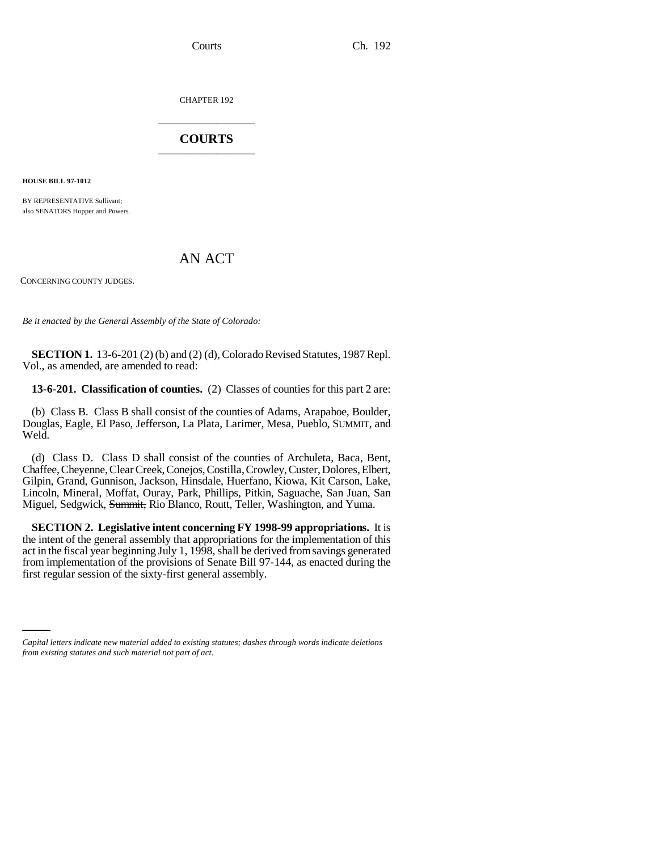CHAPTER 192 \_\_\_\_\_\_\_\_\_\_\_\_\_\_\_

## **COURTS** \_\_\_\_\_\_\_\_\_\_\_\_\_\_\_

**HOUSE BILL 97-1012**

BY REPRESENTATIVE Sullivant; also SENATORS Hopper and Powers.

## AN ACT

CONCERNING COUNTY JUDGES.

*Be it enacted by the General Assembly of the State of Colorado:*

**SECTION 1.** 13-6-201 (2) (b) and (2) (d), Colorado Revised Statutes, 1987 Repl. Vol., as amended, are amended to read:

**13-6-201. Classification of counties.** (2) Classes of counties for this part 2 are:

(b) Class B. Class B shall consist of the counties of Adams, Arapahoe, Boulder, Douglas, Eagle, El Paso, Jefferson, La Plata, Larimer, Mesa, Pueblo, SUMMIT, and Weld.

(d) Class D. Class D shall consist of the counties of Archuleta, Baca, Bent, Chaffee, Cheyenne, Clear Creek, Conejos, Costilla, Crowley, Custer, Dolores, Elbert, Gilpin, Grand, Gunnison, Jackson, Hinsdale, Huerfano, Kiowa, Kit Carson, Lake, Lincoln, Mineral, Moffat, Ouray, Park, Phillips, Pitkin, Saguache, San Juan, San Miguel, Sedgwick, Summit, Rio Blanco, Routt, Teller, Washington, and Yuma.

first regular session of the sixty-first general assembly.**SECTION 2. Legislative intent concerning FY 1998-99 appropriations.** It is the intent of the general assembly that appropriations for the implementation of this act in the fiscal year beginning July 1, 1998, shall be derived from savings generated from implementation of the provisions of Senate Bill 97-144, as enacted during the

*Capital letters indicate new material added to existing statutes; dashes through words indicate deletions from existing statutes and such material not part of act.*